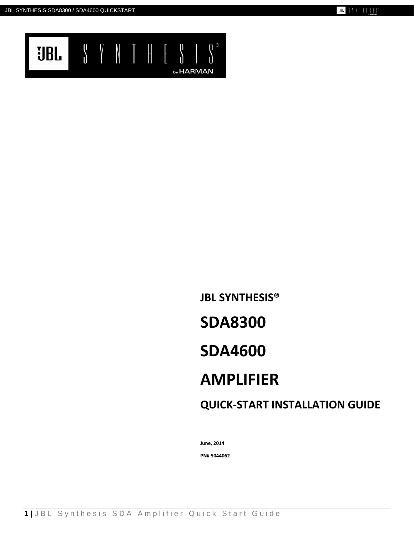

# **JBL SYNTHESIS® SDA8300 SDA4600 AMPLIFIER QUICK-START INSTALLATION GUIDE**

**June, 2014**

**PN# 5044062**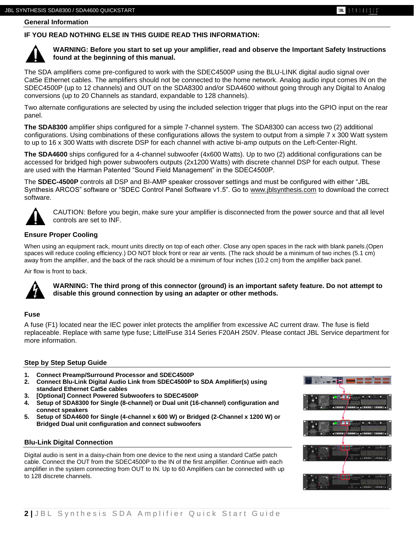$31111513$ 

## **IF YOU READ NOTHING ELSE IN THIS GUIDE READ THIS INFORMATION:**



#### **WARNING: Before you start to set up your amplifier, read and observe the Important Safety Instructions found at the beginning of this manual.**

The SDA amplifiers come pre-configured to work with the SDEC4500P using the BLU-LINK digital audio signal over Cat5e Ethernet cables. The amplifiers should not be connected to the home network. Analog audio input comes IN on the SDEC4500P (up to 12 channels) and OUT on the SDA8300 and/or SDA4600 without going through any Digital to Analog conversions (up to 20 Channels as standard, expandable to 128 channels).

Two alternate configurations are selected by using the included selection trigger that plugs into the GPIO input on the rear panel.

**The SDA8300** amplifier ships configured for a simple 7-channel system. The SDA8300 can access two (2) additional configurations. Using combinations of these configurations allows the system to output from a simple 7 x 300 Watt system to up to 16 x 300 Watts with discrete DSP for each channel with active bi-amp outputs on the Left-Center-Right.

**The SDA4600** ships configured for a 4-channel subwoofer (4x600 Watts). Up to two (2) additional configurations can be accessed for bridged high power subwoofers outputs (2x1200 Watts) with discrete channel DSP for each output. These are used with the Harman Patented "Sound Field Management" in the SDEC4500P.

The **SDEC-4500P** controls all DSP and BI-AMP speaker crossover settings and must be configured with either "JBL Synthesis ARCOS" software or "SDEC Control Panel Software v1.5". Go to [www.jblsynthesis.com](http://www.jblsynthesis.com/) to download the correct software.



CAUTION: Before you begin, make sure your amplifier is disconnected from the power source and that all level controls are set to INF.

### **Ensure Proper Cooling**

When using an equipment rack, mount units directly on top of each other. Close any open spaces in the rack with blank panels.(Open spaces will reduce cooling efficiency.) DO NOT block front or rear air vents. (The rack should be a minimum of two inches (5.1 cm) away from the amplifier, and the back of the rack should be a minimum of four inches (10.2 cm) from the amplifier back panel.

Air flow is front to back.



**WARNING: The third prong of this connector (ground) is an important safety feature. Do not attempt to disable this ground connection by using an adapter or other methods.**

#### **Fuse**

A fuse (F1) located near the IEC power inlet protects the amplifier from excessive AC current draw. The fuse is field replaceable. Replace with same type fuse; LittelFuse 314 Series F20AH 250V. Please contact JBL Service department for more information.

#### **Step by Step Setup Guide**

- **1. Connect Preamp/Surround Processor and SDEC4500P**
- **2. Connect Blu-Link Digital Audio Link from SDEC4500P to SDA Amplifier(s) using standard Ethernet Cat5e cables**
- **3. [Optional] Connect Powered Subwoofers to SDEC4500P**
- **4. Setup of SDA8300 for Single (8-channel) or Dual unit (16-channel) configuration and connect speakers**
- **5. Setup of SDA4600 for Single (4-channel x 600 W) or Bridged (2-Channel x 1200 W) or Bridged Dual unit configuration and connect subwoofers**

#### **Blu-Link Digital Connection**

Digital audio is sent in a daisy-chain from one device to the next using a standard Cat5e patch cable. Connect the OUT from the SDEC4500P to the IN of the first amplifier. Continue with each amplifier in the system connecting from OUT to IN. Up to 60 Amplifiers can be connected with up to 128 discrete channels.

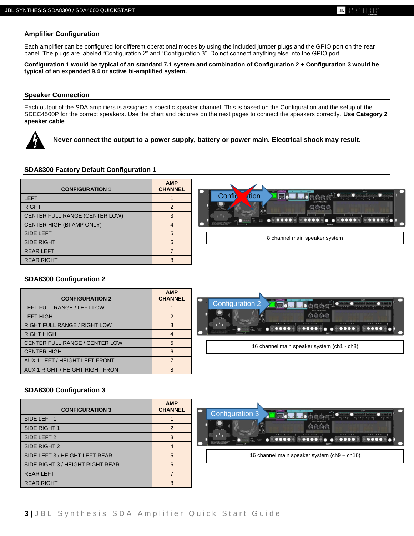#### **Amplifier Configuration**

Each amplifier can be configured for different operational modes by using the included jumper plugs and the GPIO port on the rear panel. The plugs are labeled "Configuration 2" and "Configuration 3". Do not connect anything else into the GPIO port.

**Configuration 1 would be typical of an standard 7.1 system and combination of Configuration 2 + Configuration 3 would be typical of an expanded 9.4 or active bi-amplified system.**

#### **Speaker Connection**

Each output of the SDA amplifiers is assigned a specific speaker channel. This is based on the Configuration and the setup of the SDEC4500P for the correct speakers. Use the chart and pictures on the next pages to connect the speakers correctly. **Use Category 2 speaker cable**.



**Never connect the output to a power supply, battery or power main. Electrical shock may result.**

#### **SDA8300 Factory Default Configuration 1**

| <b>CONFIGURATION 1</b>         | <b>AMP</b><br><b>CHANNEL</b> | <b>BART</b><br>. .                                               |
|--------------------------------|------------------------------|------------------------------------------------------------------|
| <b>LEFT</b>                    |                              | Confi<br>dtion<br>NPUT ATTINUATION                               |
| <b>RIGHT</b>                   |                              | 103-2400**                                                       |
| CENTER FULL RANGE (CENTER LOW) |                              | ∐ AM<br>— <del>ମୃદ୍</del> ଧ ସମସ                                  |
| CENTER HIGH (BI-AMP ONLY)      |                              | <b>CATCH TERENCE THERE UP LECTH</b><br>UNIOL GROUNDED F/C OSTERO |
| <b>SIDE LEFT</b>               | 5                            |                                                                  |
| <b>SIDE RIGHT</b>              | 6                            | 8 channel main speaker system                                    |
| <b>REAR LEFT</b>               |                              |                                                                  |
| <b>REAR RIGHT</b>              | $\Omega$                     |                                                                  |

#### **SDA8300 Configuration 2**

| <b>CONFIGURATION 2</b>              | <b>AMP</b><br><b>CHANNEL</b> |                                                                                                                                             |
|-------------------------------------|------------------------------|---------------------------------------------------------------------------------------------------------------------------------------------|
| LEFT FULL RANGE / LEFT LOW          |                              | Configuration 2                                                                                                                             |
| <b>LEFT HIGH</b>                    |                              |                                                                                                                                             |
| <b>RIGHT FULL RANGE / RIGHT LOW</b> |                              | $-1 + + T$<br><b>BOOD &amp; &amp; DOOD &amp;</b><br>$\bullet$<br>CALTON: TRADACE THE MILITARY<br>16 channel main speaker system (ch1 - ch8) |
| <b>RIGHT HIGH</b>                   | 4                            |                                                                                                                                             |
| CENTER FULL RANGE / CENTER LOW      | 5                            |                                                                                                                                             |
| <b>CENTER HIGH</b>                  | 6                            |                                                                                                                                             |
| AUX 1 LEFT / HEIGHT LEFT FRONT      |                              |                                                                                                                                             |
| AUX 1 RIGHT / HEIGHT RIGHT FRONT    |                              |                                                                                                                                             |

#### **SDA8300 Configuration 3**

| <b>CONFIGURATION 3</b>           | <b>AMP</b><br><b>CHANNEL</b> | <b>INPUT</b><br>Configuration 3<br>WAY AVAI     |
|----------------------------------|------------------------------|-------------------------------------------------|
| SIDE LEFT 1                      |                              |                                                 |
| SIDE RIGHT 1                     |                              |                                                 |
| SIDE LEFT 2                      |                              | $-1 + + 7 -$<br>$-8+ +5-$<br>$-4++3$<br>$-2++1$ |
| SIDE RIGHT 2                     | 4                            | CATCH TRINGETHER USES                           |
| SIDE LEFT 3 / HEIGHT LEFT REAR   |                              | 16 channel main speaker system (ch9 - ch16)     |
| SIDE RIGHT 3 / HEIGHT RIGHT REAR | հ                            |                                                 |
| <b>REAR LEFT</b>                 |                              |                                                 |
| <b>REAR RIGHT</b>                | 8                            |                                                 |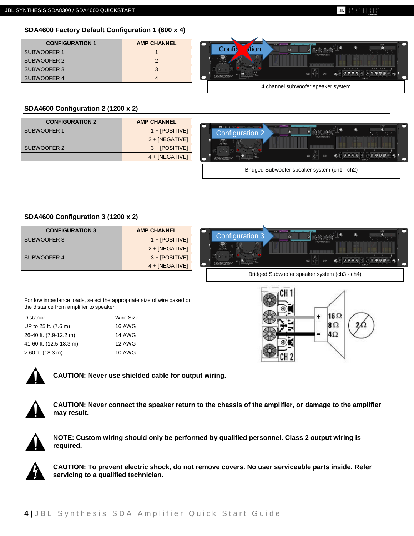#### **SIBLE**  $31111313$

## **SDA4600 Factory Default Configuration 1 (600 x 4)**

| <b>CONFIGURATION 1</b> | <b>AMP CHANNEL</b> |
|------------------------|--------------------|
| SUBWOOFER 1            |                    |
| SUBWOOFER 2            |                    |
| SUBWOOFER 3            |                    |
| SUBWOOFER 4            |                    |



## **SDA4600 Configuration 2 (1200 x 2)**

| <b>CONFIGURATION 2</b> | <b>AMP CHANNEL</b> |
|------------------------|--------------------|
| SUBWOOFER 1            | $1 + [POSITIVE]$   |
|                        | $2 + [NEGATIVE]$   |
| SUBWOOFER 2            | $3 + [POSITIVE]$   |
|                        | $4 + [NEGATIVE]$   |



## **SDA4600 Configuration 3 (1200 x 2)**

| <b>CONFIGURATION 3</b> | <b>AMP CHANNEL</b> |
|------------------------|--------------------|
| SUBWOOFER 3            | $1 + [POSITIVE]$   |
|                        | $2 + [NEGATIVE]$   |
| SUBWOOFER 4            | $3 + [POSITIVE]$   |
|                        | $4 + [NEGATIVE]$   |



Bridged Subwoofer speaker system (ch3 - ch4)

For low impedance loads, select the appropriate size of wire based on the distance from amplifier to speaker

| UP to 25 ft. (7.6 m)    | <b>16 AWG</b> |
|-------------------------|---------------|
| 26-40 ft. (7.9-12.2 m)  | <b>14 AWG</b> |
| 41-60 ft. (12.5-18.3 m) | <b>12 AWG</b> |
| $>60$ ft. (18.3 m)      | <b>10 AWG</b> |





**CAUTION: Never use shielded cable for output wiring.**



**CAUTION: Never connect the speaker return to the chassis of the amplifier, or damage to the amplifier may result.**



**NOTE: Custom wiring should only be performed by qualified personnel. Class 2 output wiring is required.**



**CAUTION: To prevent electric shock, do not remove covers. No user serviceable parts inside. Refer servicing to a qualified technician.**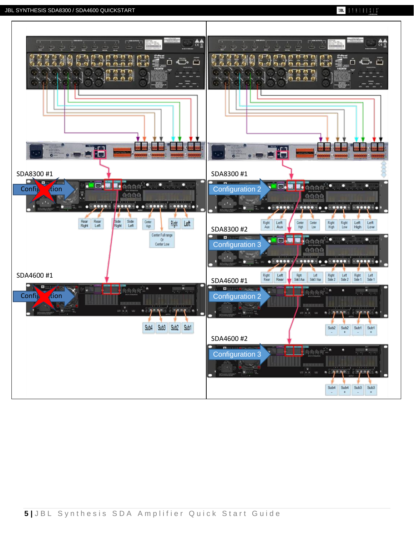### **JBL** SYNTHESES\*

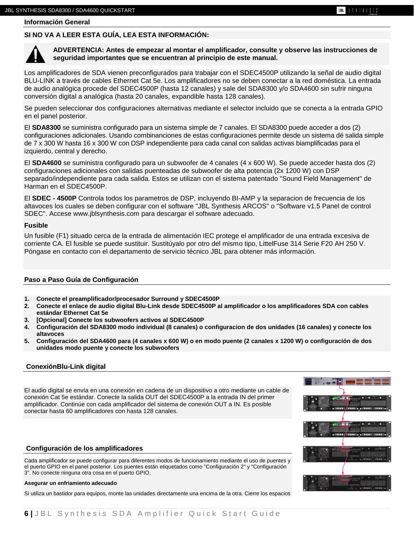**Información General**

#### **SI NO VA A LEER ESTA GUÍA, LEA ESTA INFORMACIÓN:**



**ADVERTENCIA: Antes de empezar al montar el amplificador, consulte y observe las instrucciones de seguridad importantes que se encuentran al principio de este manual.**

Los amplificadores de SDA vienen preconfigurados para trabajar con el SDEC4500P utilizando la señal de audio digital BLU-LINK a través de cables Ethernet Cat 5e. Los amplificadores no se deben conectar a la red doméstica. La entrada de audio analógica procede del SDEC4500P (hasta 12 canales) y sale del SDA8300 y/o SDA4600 sin sufrir ninguna conversión digital a analógica (hasta 20 canales, expandible hasta 128 canales).

Se pueden seleccionar dos configuraciones alternativas mediante el selector incluido que se conecta a la entrada GPIO en el panel posterior.

El **SDA8300** se suministra configurado para un sistema simple de 7 canales. El SDA8300 puede acceder a dos (2) configuraciones adicionales. Usando combinanciones de estas configuraciones permite desde un sistema dé salida simple de 7 x 300 W hasta 16 x 300 W con DSP independiente para cada canal con salidas activas biamplificadas para el izquierdo, central y derecho.

El **SDA4600** se suministra configurado para un subwoofer de 4 canales (4 x 600 W). Se puede acceder hasta dos (2) configuraciones adicionales con salidas puenteadas de subwoofer de alta potencia (2x 1200 W) con DSP separado/independiente para cada salida. Estos se utilizan con el sistema patentado "Sound Field Management" de Harman en el SDEC4500P.

El **SDEC - 4500P** Controla todos los parametros de DSP, incluyendo BI-AMP y la separacion de frecuencia de los altavoces los cuales se deben configurar con el software "JBL Synthesis ARCOS" o "Software v1.5 Panel de control SDEC". Accese www.jblsynthesis.com para descargar el software adecuado.

#### **Fusible**

Un fusible (F1) situado cerca de la entrada de alimentación IEC protege el amplificador de una entrada excesiva de corriente CA. El fusible se puede sustituir. Sustitúyalo por otro del mismo tipo, LittelFuse 314 Serie F20 AH 250 V. Póngase en contacto con el departamento de servicio técnico JBL para obtener más información.

#### **Paso a Paso Guía de Configuración**

- **1. Conecte el preamplificador/procesador Surround y SDEC4500P**
- **2. Conecte el enlace de audio digital Blu-Link desde SDEC4500P al amplificador o los amplificadores SDA con cables estándar Ethernet Cat 5e**
- **3. [Opcional] Conecte los subwoofers activos al SDEC4500P**
- **4. Configuración del SDA8300 modo individual (8 canales) o configuracion de dos unidades (16 canales) y conecte los altavoces**
- **5. Configuración del SDA4600 para (4 canales x 600 W) o en modo puente (2 canales x 1200 W) o configuración de dos unidades modo puente y conecte los subwoofers**

#### **ConexiónBlu-Link digital**

El audio digital se envía en una conexión en cadena de un dispositivo a otro mediante un cable de conexión Cat 5e estándar. Conecte la salida OUT del SDEC4500P a la entrada IN del primer amplificador. Continúe con cada amplificador del sistema de conexión OUT a IN. Es posible conectar hasta 60 amplificadores con hasta 128 canales.



#### **Configuración de los amplificadores**

Cada amplificador se puede configurar para diferentes modos de funcionamiento mediante el uso de puentes y el puerto GPIO en el panel posterior. Los puentes están etiquetados como "Configuración 2" y "Configuración 3". No conecte ninguna otra cosa en el puerto GPIO.

#### **Asegurar un enfriamiento adecuado**

Si utiliza un bastidor para equipos, monte las unidades directamente una encima de la otra. Cierre los espacios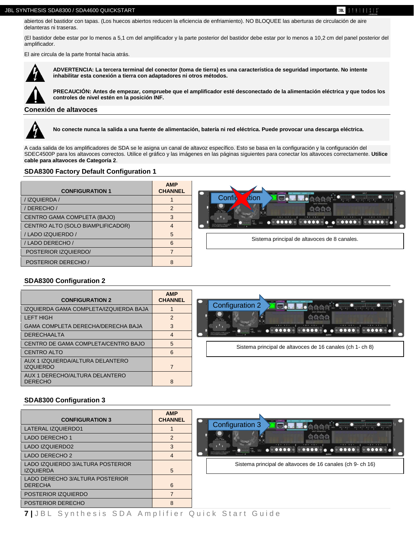UBL.  $3$   $1$   $1$   $1$   $1$   $1$   $3$   $1$   $3$ 

abiertos del bastidor con tapas. (Los huecos abiertos reducen la eficiencia de enfriamiento). NO BLOQUEE las aberturas de circulación de aire delanteras ni traseras.

(El bastidor debe estar por lo menos a 5,1 cm del amplificador y la parte posterior del bastidor debe estar por lo menos a 10,2 cm del panel posterior del amplificador.

El aire circula de la parte frontal hacia atrás.



**ADVERTENCIA: La tercera terminal del conector (toma de tierra) es una característica de seguridad importante. No intente inhabilitar esta conexión a tierra con adaptadores ni otros métodos.**

**PRECAUCIÓN: Antes de empezar, compruebe que el amplificador esté desconectado de la alimentación eléctrica y que todos los controles de nivel estén en la posición INF.**

#### **Conexión de altavoces**



**No conecte nunca la salida a una fuente de alimentación, batería ni red eléctrica. Puede provocar una descarga eléctrica.**

A cada salida de los amplificadores de SDA se le asigna un canal de altavoz específico. Esto se basa en la configuración y la configuración del SDEC4500P para los altavoces correctos. Utilice el gráfico y las imágenes en las páginas siguientes para conectar los altavoces correctamente. **Utilice cable para altavoces de Categoría 2**.

#### **SDA8300 Factory Default Configuration 1**

| <b>CONFIGURATION 1</b>            | <b>AMP</b><br><b>CHANNEL</b> | <b>BRIT</b>                                   |
|-----------------------------------|------------------------------|-----------------------------------------------|
| /IZQUIERDA/                       |                              | Confi<br>dtion<br>$A = -A +  A + - A + - A +$ |
| DERECHO /                         |                              |                                               |
| CENTRO GAMA COMPLETA (BAJO)       |                              |                                               |
| CENTRO ALTO (SOLO BIAMPLIFICADOR) |                              | <b>MOOR AND ACTIVE OF THE CONDUCT</b>         |
| / LADO IZQUIERDO /                |                              |                                               |
| /LADO DERECHO/                    | 6                            | Sistema principal de altavoces de 8 canales.  |
| POSTERIOR IZQUIERDO/              |                              |                                               |
| POSTERIOR DERECHO /               |                              |                                               |

#### **SDA8300 Configuration 2**

| <b>CONFIGURATION 2</b>                               | <b>AMP</b><br><b>CHANNEL</b>                                       |                                                           |
|------------------------------------------------------|--------------------------------------------------------------------|-----------------------------------------------------------|
| IZQUIERDA GAMA COMPLETA/IZQUIERDA BAJA               |                                                                    | <b>Configuration 2</b><br><b>TEGA</b>                     |
| <b>LEFT HIGH</b>                                     | 2<br>$-1++7$<br>3<br><br><b>DIDOLOGICATING</b> DETACORDE<br>4<br>5 |                                                           |
| GAMA COMPLETA DERECHA/DERECHA BAJA                   |                                                                    |                                                           |
| <b>DERECHAALTA</b>                                   |                                                                    |                                                           |
| CENTRO DE GAMA COMPLETA/CENTRO BAJO                  |                                                                    | Sistema principal de altavoces de 16 canales (ch 1- ch 8) |
| <b>CENTRO ALTO</b>                                   | 6                                                                  |                                                           |
| AUX 1 IZQUIERDA/ALTURA DELANTERO<br><b>IZQUIERDO</b> |                                                                    |                                                           |
| AUX 1 DERECHO/ALTURA DELANTERO<br><b>DERECHO</b>     | 8                                                                  |                                                           |

#### **SDA8300 Configuration 3**

| <b>CONFIGURATION 3</b>                                | <b>AMP</b><br><b>CHANNEL</b> |
|-------------------------------------------------------|------------------------------|
| LATERAL IZQUIERDO1                                    |                              |
| LADO DERECHO 1                                        |                              |
| LADO IZQUIERDO2                                       | 3                            |
| LADO DERECHO 2                                        | 4                            |
| LADO IZQUIERDO 3/ALTURA POSTERIOR<br><b>IZQUIERDA</b> | 5                            |
| LADO DERECHO 3/ALTURA POSTERIOR<br><b>DERECHA</b>     | 6                            |
| POSTERIOR IZQUIERDO                                   |                              |
| POSTERIOR DERECHO                                     | 8                            |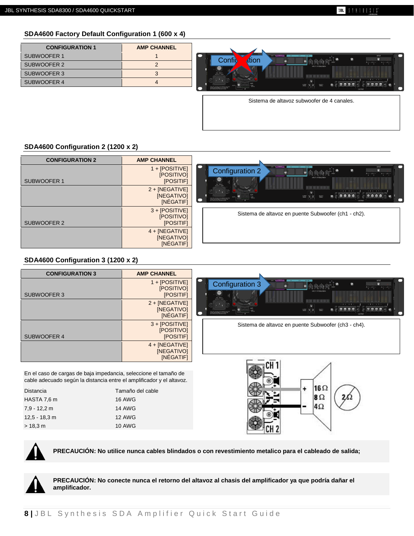## **SDA4600 Factory Default Configuration 1 (600 x 4)**

| <b>CONFIGURATION 1</b> | <b>AMP CHANNEL</b> |
|------------------------|--------------------|
| SUBWOOFER 1            |                    |
| SUBWOOFER 2            |                    |
| SUBWOOFER 3            |                    |
| SUBWOOFER 4            |                    |



Sistema de altavoz subwoofer de 4 canales.

## **SDA4600 Configuration 2 (1200 x 2)**

| <b>CONFIGURATION 2</b> | <b>AMP CHANNEL</b>                          |                                                                                                                                                                                                                                                                                     |
|------------------------|---------------------------------------------|-------------------------------------------------------------------------------------------------------------------------------------------------------------------------------------------------------------------------------------------------------------------------------------|
| SUBWOOFER 1            | 1 + [POSITIVE]<br>[POSITIVO]<br>[POSITIF]   | GNO ANTIBOARD IN CON-<br>. .<br>INPUT<br><b>BULINE</b><br><b>Configuration 2</b><br>G<br>$A + - A +  A + - A +$<br>SOUTH CON                                                                                                                                                        |
|                        | $2 + [NEGATIVE]$<br>[NEGATIVO]<br>[NÉGATIF] | $4 + +3$<br>要要要要!<br>$\max_{\mathbf{x}}\left \frac{\mathbf{x}}{\mathbf{x}}\right \left \frac{\mathbf{x}}{\mathbf{x}}\right ,$<br>099990<br>$\frac{Q_xQ_y^2}{\sqrt{2}}$<br>CAUTON-TO RIGHES THE RIGHT SIGNERS<br>WAS CALCUMBRIZED THE CENTER OF THIS RUG AT REAL REPORT.<br>CLITER D |
| SUBWOOFER 2            | $3 + [POSITIVE]$<br>[POSITIVO]<br>[POSITIF] | Sistema de altavoz en puente Subwoofer (ch1 - ch2).                                                                                                                                                                                                                                 |
|                        | $4 + [NEGATIVE]$<br>[NEGATIVO]<br>[NÉGATIF] |                                                                                                                                                                                                                                                                                     |

## **SDA4600 Configuration 3 (1200 x 2)**

| <b>CONFIGURATION 3</b> | <b>AMP CHANNEL</b>                          |                                                                                                                                           |
|------------------------|---------------------------------------------|-------------------------------------------------------------------------------------------------------------------------------------------|
| SUBWOOFER 3            | $1 + [POSITIVE]$<br>[POSITIVO]<br>[POSITIF] | OND A CHERE<br>INPUT<br>Configuration 3<br>œ.<br>愈<br>$A+\cdots A+\cdots \qquad A+\cdots A+\cdots$<br><b>NPUT ATTEMATION</b><br>$30 - 20$ |
|                        | $2 + [NEGATIVE]$<br>[NEGATIVO]<br>[NÉGATIF] | $-4 + + 3$<br>$-2++1$<br>金金金金<br>全岛岛岛<br>CALFON-TO REDUCE THE REC OF ELECTRICS                                                            |
| SUBWOOFER 4            | $3 + [POSITIVE]$<br>[POSITIVO]<br>[POSITIF] | Sistema de altavoz en puente Subwoofer (ch3 - ch4).                                                                                       |
|                        | $4 + [NEGATIVE]$<br>[NEGATIVO]<br>[NÉGATIF] |                                                                                                                                           |
|                        |                                             |                                                                                                                                           |

En el caso de cargas de baja impedancia, seleccione el tamaño de cable adecuado según la distancia entre el amplificador y el altavoz.

| <b>Distancia</b> | Tamaño del cable |
|------------------|------------------|
| HASTA 7,6 m      | 16 AWG           |
| $7.9 - 12.2$ m   | <b>14 AWG</b>    |
| $12.5 - 18.3$ m  | <b>12 AWG</b>    |
| > 18.3 m         | <b>10 AWG</b>    |
|                  |                  |





**PRECAUCIÓN: No utilice nunca cables blindados o con revestimiento metalico para el cableado de salida;**



**PRECAUCIÓN: No conecte nunca el retorno del altavoz al chasis del amplificador ya que podría dañar el amplificador.**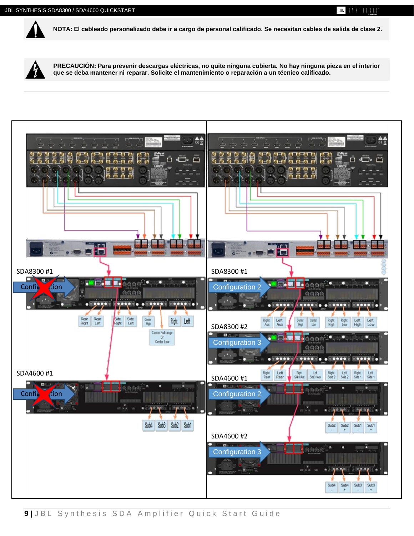

**NOTA: El cableado personalizado debe ir a cargo de personal calificado. Se necesitan cables de salida de clase 2.**

UBL.

 $3$   $1$   $1$   $1$   $1$   $1$   $3$   $1$   $3$ 



**PRECAUCIÓN: Para prevenir descargas eléctricas, no quite ninguna cubierta. No hay ninguna pieza en el interior que se deba mantener ni reparar. Solicite el mantenimiento o reparación a un técnico calificado.**

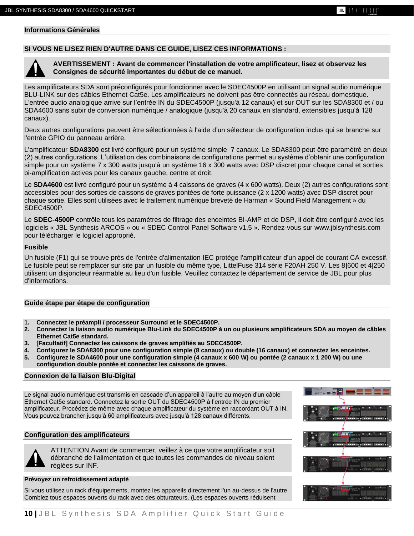## **Informations Générales**

## **SI VOUS NE LISEZ RIEN D'AUTRE DANS CE GUIDE, LISEZ CES INFORMATIONS :**



**AVERTISSEMENT : Avant de commencer l'installation de votre amplificateur, lisez et observez les Consignes de sécurité importantes du début de ce manuel.**

Les amplificateurs SDA sont préconfigurés pour fonctionner avec le SDEC4500P en utilisant un signal audio numérique BLU-LINK sur des câbles Ethernet Cat5e. Les amplificateurs ne doivent pas être connectés au réseau domestique. L'entrée audio analogique arrive sur l'entrée IN du SDEC4500P (jusqu'à 12 canaux) et sur OUT sur les SDA8300 et / ou SDA4600 sans subir de conversion numérique / analogique (jusqu'à 20 canaux en standard, extensibles jusqu'à 128 canaux).

Deux autres configurations peuvent être sélectionnées à l'aide d'un sélecteur de configuration inclus qui se branche sur l'entrée GPIO du panneau arrière.

L'amplificateur **SDA8300** est livré configuré pour un système simple 7 canaux. Le SDA8300 peut être paramétré en deux (2) autres configurations. L'utilisation des combinaisons de configurations permet au système d'obtenir une configuration simple pour un système 7 x 300 watts jusqu'à un système 16 x 300 watts avec DSP discret pour chaque canal et sorties bi-amplification actives pour les canaux gauche, centre et droit.

Le **SDA4600** est livré configuré pour un système à 4 caissons de graves (4 x 600 watts). Deux (2) autres configurations sont accessibles pour des sorties de caissons de graves pontées de forte puissance (2 x 1200 watts) avec DSP discret pour chaque sortie. Elles sont utilisées avec le traitement numérique breveté de Harman « Sound Field Management » du SDEC4500P.

Le **SDEC-4500P** contrôle tous les paramètres de filtrage des enceintes BI-AMP et de DSP, il doit être configuré avec les logiciels « JBL Synthesis ARCOS » ou « SDEC Control Panel Software v1.5 ». Rendez-vous sur www.jblsynthesis.com pour télécharger le logiciel approprié.

#### **Fusible**

Un fusible (F1) qui se trouve près de l'entrée d'alimentation IEC protège l'amplificateur d'un appel de courant CA excessif. Le fusible peut se remplacer sur site par un fusible du même type, LittelFuse 314 série F20AH 250 V. Les 8|600 et 4|250 utilisent un disjoncteur réarmable au lieu d'un fusible. Veuillez contactez le département de service de JBL pour plus d'informations.

#### **Guide étape par étape de configuration**

- **1. Connectez le préampli / processeur Surround et le SDEC4500P.**
- **2. Connectez la liaison audio numérique Blu-Link du SDEC4500P à un ou plusieurs amplificateurs SDA au moyen de câbles Ethernet Cat5e standard.**
- **3. [Facultatif] Connectez les caissons de graves amplifiés au SDEC4500P.**
- **4. Configurez le SDA8300 pour une configuration simple (8 canaux) ou double (16 canaux) et connectez les enceintes.**
- **5. Configurez le SDA4600 pour une configuration simple (4 canaux x 600 W) ou pontée (2 canaux x 1 200 W) ou une configuration double pontée et connectez les caissons de graves.**

#### **Connexion de la liaison Blu-Digital**

Le signal audio numérique est transmis en cascade d'un appareil à l'autre au moyen d'un câble Ethernet Cat5e standard. Connectez la sortie OUT du SDEC4500P à l'entrée IN du premier amplificateur. Procédez de même avec chaque amplificateur du système en raccordant OUT à IN. Vous pouvez brancher jusqu'à 60 amplificateurs avec jusqu'à 128 canaux différents.

#### **Configuration des amplificateurs**

ATTENTION Avant de commencer, veillez à ce que votre amplificateur soit débranché de l'alimentation et que toutes les commandes de niveau soient réglées sur INF.

#### **Prévoyez un refroidissement adapté**

Si vous utilisez un rack d'équipements, montez les appareils directement l'un au-dessus de l'autre. Comblez tous espaces ouverts du rack avec des obturateurs. (Les espaces ouverts réduisent

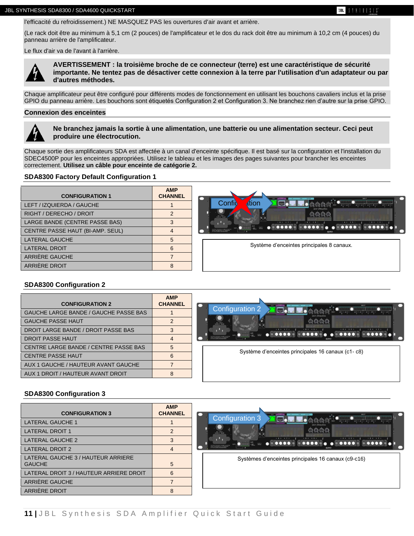l'efficacité du refroidissement.) NE MASQUEZ PAS les ouvertures d'air avant et arrière.

(Le rack doit être au minimum à 5,1 cm (2 pouces) de l'amplificateur et le dos du rack doit être au minimum à 10,2 cm (4 pouces) du panneau arrière de l'amplificateur.

Le flux d'air va de l'avant à l'arrière.



**AVERTISSEMENT : la troisième broche de ce connecteur (terre) est une caractéristique de sécurité importante. Ne tentez pas de désactiver cette connexion à la terre par l'utilisation d'un adaptateur ou par d'autres méthodes.**

Chaque amplificateur peut être configuré pour différents modes de fonctionnement en utilisant les bouchons cavaliers inclus et la prise GPIO du panneau arrière. Les bouchons sont étiquetés Configuration 2 et Configuration 3. Ne branchez rien d'autre sur la prise GPIO.

#### **Connexion des enceintes**



**Ne branchez jamais la sortie à une alimentation, une batterie ou une alimentation secteur. Ceci peut produire une électrocution.**

Chaque sortie des amplificateurs SDA est affectée à un canal d'enceinte spécifique. Il est basé sur la configuration et l'installation du SDEC4500P pour les enceintes appropriées. Utilisez le tableau et les images des pages suivantes pour brancher les enceintes correctement. **Utilisez un câble pour enceinte de catégorie 2.**

#### **SDA8300 Factory Default Configuration 1**

| <b>CONFIGURATION 1</b>           | <b>AMP</b><br><b>CHANNEL</b> | <b>BR/T</b>                               |
|----------------------------------|------------------------------|-------------------------------------------|
| LEFT / IZQUIERDA / GAUCHE        |                              | 大 内 共 決 !<br>Confid<br>dtion              |
| RIGHT / DERECHO / DROIT          |                              | Shep is 19403                             |
| LARGE BANDE (CENTRE PASSE BAS)   |                              | $-1+ + 7-$<br>$-6 + + 5 -$<br>$-2++1$     |
| CENTRE PASSE HAUT (BI-AMP. SEUL) |                              | CALCOR TERRACE THERE IS EASTER            |
| LATERAL GAUCHE                   |                              |                                           |
| <b>LATERAL DROIT</b>             | 6                            | Système d'enceintes principales 8 canaux. |
| ARRIERE GAUCHE                   |                              |                                           |
| ARRIÈRE DROIT                    | $\circ$                      |                                           |

#### **SDA8300 Configuration 2**

| <b>CONFIGURATION 2</b>                | <b>AMP</b><br><b>CHANNEL</b> | <b>BR/T</b>                                       |
|---------------------------------------|------------------------------|---------------------------------------------------|
| GAUCHE LARGE BANDE / GAUCHE PASSE BAS |                              | <b>Configuration 2</b>                            |
| <b>GAUCHE PASSE HAUT</b>              |                              |                                                   |
| DROIT LARGE BANDE / DROIT PASSE BAS   |                              | $\bullet$                                         |
| <b>DROIT PASSE HAUT</b>               | 4                            | CALTON: TERCHIC THERE US LACTE                    |
| CENTRE LARGE BANDE / CENTRE PASSE BAS | 5                            | Système d'enceintes principales 16 canaux (c1-c8) |
| <b>CENTRE PASSE HAUT</b>              |                              |                                                   |
| AUX 1 GAUCHE / HAUTEUR AVANT GAUCHE   |                              |                                                   |
| AUX 1 DROIT / HAUTEUR AVANT DROIT     | ጸ                            |                                                   |

#### **SDA8300 Configuration 3**

| <b>CONFIGURATION 3</b>                              | <b>AMP</b><br><b>CHANNEL</b> | <b>BART</b><br>バイバスマ                                                           |
|-----------------------------------------------------|------------------------------|--------------------------------------------------------------------------------|
| <b>LATERAL GAUCHE 1</b>                             |                              | <b>Configuration 3</b><br><b>TO-</b><br>$max$ $A2 - A2 - A3 - A2 - A2 - A2 - $ |
| <b>LATERAL DROIT 1</b>                              | $\mathfrak{p}$               |                                                                                |
| LATERAL GAUCHE 2                                    |                              |                                                                                |
| <b>LATERAL DROIT 2</b>                              | 4                            | <b>MOOL GROUND BY THE COMPANY</b>                                              |
| LATERAL GAUCHE 3 / HAUTEUR ARRIERE<br><b>GAUCHE</b> | 5                            | Systèmes d'enceintes principales 16 canaux (c9-c16)                            |
| LATERAL DROIT 3 / HAUTEUR ARRIERE DROIT             | 6                            |                                                                                |
| ARRIÈRE GAUCHE                                      |                              |                                                                                |
| ARRIÈRE DROIT                                       | 8                            |                                                                                |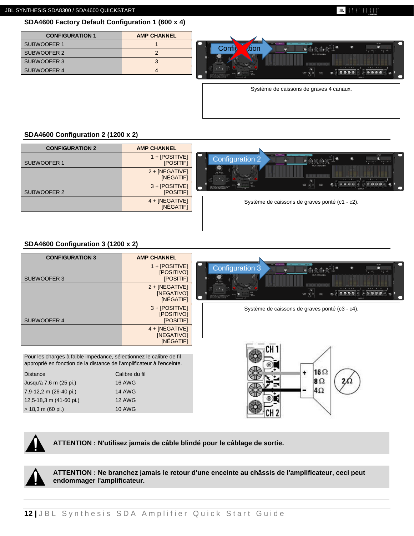#### UBL  $31111313$

## **SDA4600 Factory Default Configuration 1 (600 x 4)**

| <b>CONFIGURATION 1</b> | <b>AMP CHANNEL</b> |
|------------------------|--------------------|
| SUBWOOFER 1            |                    |
| SUBWOOFER 2            |                    |
| SUBWOOFER 3            |                    |
| SUBWOOFER 4            |                    |



Système de caissons de graves 4 canaux.

#### **SDA4600 Configuration 2 (1200 x 2)**

| <b>CONFIGURATION 2</b> | <b>AMP CHANNEL</b>            |                                                                                                                                                                                                          |
|------------------------|-------------------------------|----------------------------------------------------------------------------------------------------------------------------------------------------------------------------------------------------------|
| SUBWOOFER 1            | 1 + [POSITIVE]<br>[POSITIF]   | OND ACTIONS WAS<br>NRUT<br>Configuration 2<br>®.<br>$\bullet$<br>$A + - A + -$<br>$A + - A +$<br>INPUT ATTEMATION                                                                                        |
|                        | $2 + [NEGATIVE]$<br>[NÉGATIF] | 100-2400~                                                                                                                                                                                                |
| SUBWOOFER 2            | $3 + [POSITIVE]$<br>[POSITIF] | 命令の命じ<br>$\frac{1}{2} \left[ \frac{1}{2} \right] \left[ \frac{1}{2} \right]$<br>CAUTOR-TO REDUCE THE REC OF ELECTRIC<br>MADOL GROUNGRADO THE CENTRICIAL<br>OF THE RUSSIAN OF REASON AND<br><b>CUTFUR</b> |
|                        | 4 + [NEGATIVE]<br>[NÉGATIF]   | Système de caissons de graves ponté (c1 - c2).                                                                                                                                                           |
|                        |                               |                                                                                                                                                                                                          |

## **SDA4600 Configuration 3 (1200 x 2)**

| <b>CONFIGURATION 3</b>                                              | <b>AMP CHANNEL</b>                                 |                                                                                                  |
|---------------------------------------------------------------------|----------------------------------------------------|--------------------------------------------------------------------------------------------------|
|                                                                     | $1 + [POSITIVE]$<br><b>[POSITIVO]</b>              | ON TANTONI<br><b>Configuration 3</b><br>$A + - A + -$<br>$A + - A +$                             |
| SUBWOOFER 3                                                         | <b>[POSITIF]</b>                                   | 30.207                                                                                           |
|                                                                     | $2 + [NEGATIVE]$<br>[NEGATIVO]<br>[NÉGATIF]        | <u>a matsayin shi ne</u><br>$-4 + - + 3$<br>金金金金<br>있다 및 오<br><b>HOOK GROUNDBACK THE CENTROL</b> |
| SUBWOOFER 4                                                         | $3 + [POSITIVE]$<br>[POSITIVO]<br>[POSITIF]        | Système de caissons de graves ponté (c3 - c4).                                                   |
|                                                                     | $4 + [NEGATIVE]$<br><b>INEGATIVOI</b><br>[NÉGATIF] |                                                                                                  |
| Pour les charges à faible impédance, sélectionnez le calibre de fil |                                                    |                                                                                                  |

approprié en fonction de la distance de l'amplificateur à l'enceinte.

| <b>Distance</b>         | Calibre du fil |
|-------------------------|----------------|
| Jusqu'à 7,6 m (25 pi.)  | <b>16 AWG</b>  |
| 7,9-12,2 m (26-40 pi.)  | <b>14 AWG</b>  |
| 12,5-18,3 m (41-60 pi.) | <b>12 AWG</b>  |
| $> 18.3$ m (60 pi.)     | <b>10 AWG</b>  |
|                         |                |



**ATTENTION : N'utilisez jamais de câble blindé pour le câblage de sortie.**

**ATTENTION : Ne branchez jamais le retour d'une enceinte au châssis de l'amplificateur, ceci peut endommager l'amplificateur.**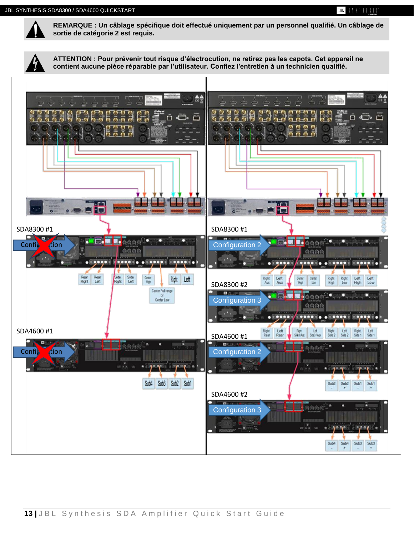

**REMARQUE : Un câblage spécifique doit effectué uniquement par un personnel qualifié. Un câblage de sortie de catégorie 2 est requis.**

**ATTENTION : Pour prévenir tout risque d'électrocution, ne retirez pas les capots. Cet appareil ne contient aucune pièce réparable par l'utilisateur. Confiez l'entretien à un technicien qualifié.**

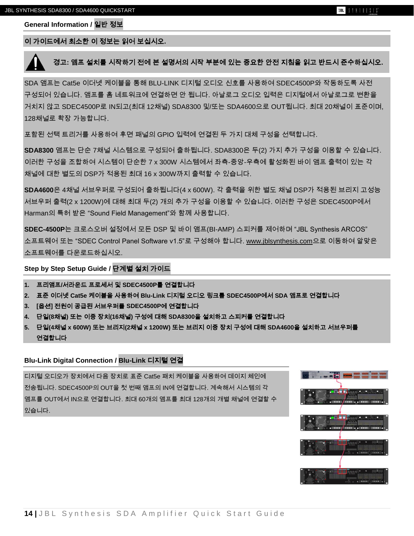**General Information /** 일반 정보

### 이 가이드에서 최소한 이 정보는 읽어 보십시오**.**

## 경고**:** 앰프 설치를 시작하기 전에 본 설명서의 시작 부분에 있는 중요한 안전 지침을 읽고 반드시 준수하십시오**.**

SDA 앰프는 Cat5e 이더넷 케이블을 통해 BLU-LINK 디지털 오디오 신호를 사용하여 SDEC4500P와 작동하도록 사전 구성되어 있습니다. 앰프를 홈 네트워크에 연결하면 안 됩니다. 아날로그 오디오 입력은 디지털에서 아날로그로 변환을 거치지 않고 SDEC4500P로 IN되고(최대 12채널) SDA8300 및/또는 SDA4600으로 OUT됩니다. 최대 20채널이 표준이며, 128채널로 확장 가능합니다.

포함된 선택 트리거를 사용하여 후면 패널의 GPIO 입력에 연결된 두 가지 대체 구성을 선택합니다.

**SDA8300** 앰프는 단순 7채널 시스템으로 구성되어 출하됩니다. SDA8300은 두(2) 가지 추가 구성을 이용할 수 있습니다. 이러한 구성을 조합하여 시스템이 단순한 7 x 300W 시스템에서 좌측-중앙-우측에 활성화된 바이 앰프 출력이 있는 각 채널에 대한 별도의 DSP가 적용된 최대 16 x 300W까지 출력할 수 있습니다.

**SDA4600**은 4채널 서브우퍼로 구성되어 출하됩니다(4 x 600W). 각 출력을 위한 별도 채널 DSP가 적용된 브리지 고성능 서브우퍼 출력(2 x 1200W)에 대해 최대 두(2) 개의 추가 구성을 이용할 수 있습니다. 이러한 구성은 SDEC4500P에서 Harman의 특허 받은 "Sound Field Management"와 함께 사용합니다.

**SDEC-4500P**는 크로스오버 설정에서 모든 DSP 및 바이 앰프(BI-AMP) 스피커를 제어하며 "JBL Synthesis ARCOS" 소프트웨어 또는 "SDEC Control Panel Software v1.5"로 구성해야 합니다. [www.jblsynthesis.com](http://www.jblsynthesis.com/)으로 이동하여 알맞은 소프트웨어를 다운로드하십시오.

#### **Step by Step Setup Guide /** 단계별 설치 가이드

- **1.** 프리앰프**/**서라운드 프로세서 및 **SDEC4500P**를 연결합니다
- **2.** 표준 이더넷 **Cat5e** 케이블을 사용하여 **Blu-Link** 디지털 오디오 링크를 **SDEC4500P**에서 **SDA** 앰프로 연결합니다
- **3. [**옵션**]** 전원이 공급된 서브우퍼를 **SDEC4500P**에 연결합니다
- **4.** 단일**(8**채널**)** 또는 이중 장치**(16**채널**)** 구성에 대해 **SDA8300**을 설치하고 스피커를 연결합니다
- **5.** 단일**(4**채널 **x 600W)** 또는 브리지**(2**채널 **x 1200W)** 또는 브리지 이중 장치 구성에 대해 **SDA4600**을 설치하고 서브우퍼를 연결합니다

#### **Blu-Link Digital Connection / Blu-Link** 디지털 연결

디지털 오디오가 장치에서 다음 장치로 표준 Cat5e 패치 케이블을 사용하여 데이지 체인에 전송됩니다. SDEC4500P의 OUT을 첫 번째 앰프의 IN에 연결합니다. 계속해서 시스템의 각 앰프를 OUT에서 IN으로 연결합니다. 최대 60개의 앰프를 최대 128개의 개별 채널에 연결할 수 있습니다.

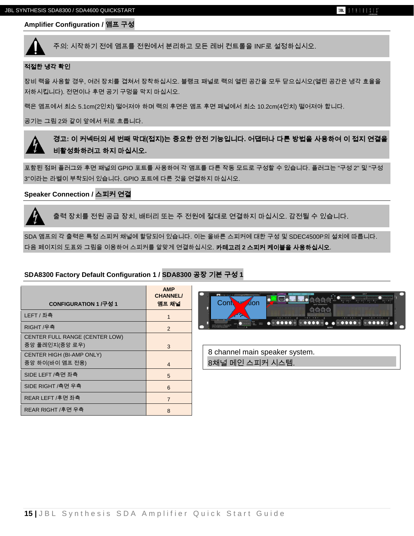#### **Amplifier Configuration /** 앰프 구성



#### 적절한 냉각 확인

장비 랙을 사용할 경우, 여러 장치를 겹쳐서 장착하십시오. 블랭크 패널로 랙의 열린 공간을 모두 닫으십시오(열린 공간은 냉각 효율을 저하시킵니다). 전면이나 후면 공기 구멍을 막지 마십시오.

랙은 앰프에서 최소 5.1cm(2인치) 떨어져야 하며 랙의 후면은 앰프 후면 패널에서 최소 10.2cm(4인치) 떨어져야 합니다.

공기는 그림 2와 같이 앞에서 뒤로 흐릅니다.

경고**:** 이 커넥터의 세 번째 막대**(**접지**)**는 중요한 안전 기능입니다**.** 어댑터나 다른 방법을 사용하여 이 접지 연결을 비활성화하려고 하지 마십시오**.**

포함된 점퍼 플러그와 후면 패널의 GPIO 포트를 사용하여 각 앰프를 다른 작동 모드로 구성할 수 있습니다. 플러그는 "구성 2" 및 "구성 3"이라는 라벨이 부착되어 있습니다. GPIO 포트에 다른 것을 연결하지 마십시오.

#### **Speaker Connection /** 스피커 연결

출력 장치를 전원 공급 장치, 배터리 또는 주 전원에 절대로 연결하지 마십시오. 감전될 수 있습니다.

SDA 앰프의 각 출력은 특정 스피커 채널에 할당되어 있습니다. 이는 올바른 스피커에 대한 구성 및 SDEC4500P의 설치에 따릅니다. 다음 페이지의 도표와 그림을 이용하여 스피커를 알맞게 연결하십시오. 카테고리 **2** 스피커 케이블을 사용하십시오.

#### **SDA8300 Factory Default Configuration 1 / SDA8300** 공장 기본 구성 **1**

| CONFIGURATION 1 /구성 1                            | <b>AMP</b><br><b>CHANNEL/</b><br>앰프 채널 | <b>TELEVISION</b><br><b>Cont</b><br><b>Aion</b>   |
|--------------------------------------------------|----------------------------------------|---------------------------------------------------|
| LEFT / 좌측                                        |                                        | ◢                                                 |
| RIGHT /우측                                        | 2                                      | <b>Maria Monda de Caractería de Caractería</b>    |
| CENTER FULL RANGE (CENTER LOW)<br>중앙 풀레인지(중앙 로우) | 3                                      |                                                   |
| CENTER HIGH (BI-AMP ONLY)<br>중앙 하이(바이 앰프 전용)     | $\overline{4}$                         | 8 channel main speaker system.<br>8채널 메인 스피커 시스템. |
| SIDE LEFT /측면 좌측                                 | 5                                      |                                                   |
| SIDE RIGHT /측면 우측                                | $6\phantom{1}$                         |                                                   |
| REAR LEFT /후면 좌측                                 | $\overline{7}$                         |                                                   |
| REAR RIGHT /후면 우측                                | 8                                      |                                                   |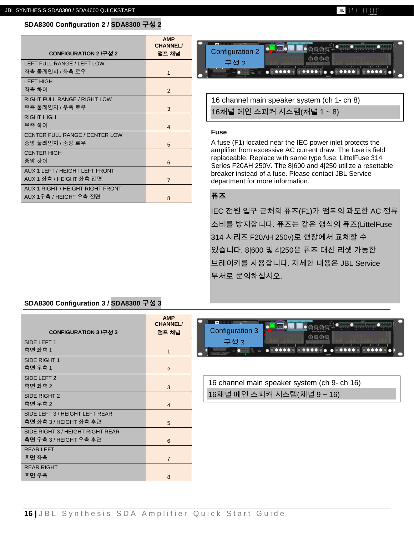#### **JBL** SYNTHESIS

## **SDA8300 Configuration 2 / SDA8300** 구성 **2**

|                                       | <b>AMP</b><br><b>CHANNEL/</b> |
|---------------------------------------|-------------------------------|
| CONFIGURATION 2 /구성 2                 | 앰프 채널                         |
| LEFT FULL RANGE / LEFT LOW            |                               |
| 좌측 풀레인지 / 좌측 로우                       | $\mathbf{1}$                  |
| I FFT HIGH                            |                               |
| 좌측 하이                                 | 2                             |
| RIGHT FULL RANGE / RIGHT LOW          |                               |
| 우측 풀레인지 / 우측 로우                       | 3                             |
| <b>RIGHT HIGH</b>                     |                               |
| 우측 하이                                 | $\overline{4}$                |
| <b>CENTER FULL RANGE / CENTER LOW</b> |                               |
| 중앙 풀레인지 / 중앙 로우                       | 5                             |
| <b>CENTER HIGH</b>                    |                               |
| 중앙 하이                                 | 6                             |
| AUX 1 LEFT / HEIGHT LEFT FRONT        |                               |
| AUX 1 좌측 / HEIGHT 좌측 전면               | $\overline{7}$                |
| AUX 1 RIGHT / HEIGHT RIGHT FRONT      |                               |
| AUX 1우측 / HEIGHT 우측 전면                | 8                             |



16 channel main speaker system (ch 1- ch 8) 16채널 메인 스피커 시스템(채널 1 ~ 8)

#### **Fuse**

A fuse (F1) located near the IEC power inlet protects the amplifier from excessive AC current draw. The fuse is field replaceable. Replace with same type fuse; LittelFuse 314 Series F20AH 250V. The 8|600 and 4|250 utilize a resettable breaker instead of a fuse. Please contact JBL Service department for more information.

## 퓨즈

IEC 전원 입구 근처의 퓨즈(F1)가 앰프의 과도한 AC 전류 소비를 방지합니다. 퓨즈는 같은 형식의 퓨즈(LittelFuse 314 시리즈 F20AH 250v)로 현장에서 교체할 수 있습니다. 8|600 및 4|250은 퓨즈 대신 리셋 가능한 브레이커를 사용합니다. 자세한 내용은 JBL Service 부서로 문의하십시오.

## **SDA8300 Configuration 3 / SDA8300** 구성 **3**

|                                  | <b>AMP</b><br><b>CHANNEL/</b> |
|----------------------------------|-------------------------------|
| CONFIGURATION 3 /구성 3            | 앰프 채널                         |
| SIDE LEFT 1                      |                               |
| 측면 좌측 1                          | $\mathbf{1}$                  |
| SIDE RIGHT 1                     |                               |
| 측면 우측 1                          | $\mathcal{P}$                 |
| SIDE LEFT 2                      |                               |
| 측면 좌측 2                          | 3                             |
| SIDE RIGHT 2                     |                               |
| 측면 우측 2                          | $\overline{4}$                |
| SIDE LEFT 3 / HEIGHT LEFT REAR   |                               |
| 측면 좌측 3 / HEIGHT 좌측 후면           | 5                             |
| SIDE RIGHT 3 / HEIGHT RIGHT REAR |                               |
| 측면 우측 3 / HEIGHT 우측 후면           | 6                             |
| <b>REAR I FFT</b>                |                               |
| 후면 좌측                            | $\overline{7}$                |
| <b>REAR RIGHT</b>                |                               |
| 후면 우측                            | 8                             |



16 channel main speaker system (ch 9- ch 16) 16채널 메인 스피커 시스템(채널 9 ~ 16)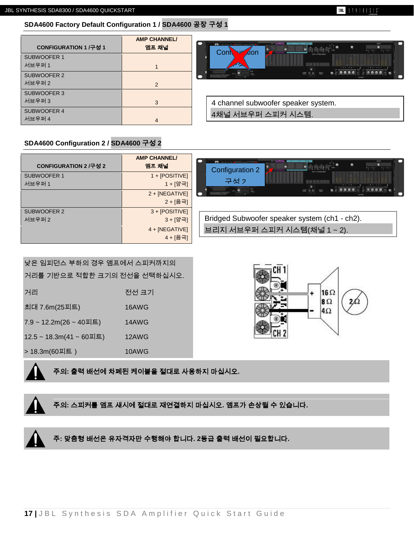## **JBL** SYNTHESIS<sup>\*</sup>

## **SDA4600 Factory Default Configuration 1 / SDA4600** 공장 구성 **1**

| CONFIGURATION 1 /구성 1 | <b>AMP CHANNEL/</b><br>앰프 채널 | ON LOCATION IN OF BUILD<br>. .<br>INPUT<br><b>M</b> URICA<br>ø.<br><b>Site</b><br>$A + - A +  A + - A +$<br>Cont<br><b>Alon</b> |
|-----------------------|------------------------------|---------------------------------------------------------------------------------------------------------------------------------|
| SUBWOOFER 1<br>서브우퍼 1 |                              | NPUT ATTEMANTCH<br>△<br><b>The Common Street</b><br>Ξ                                                                           |
| SUBWOOFER 2           |                              | 2021年<br>M/TON-TO RIDAKT THE RISK OF EUCTI<br>MAXIM CANADA DE CINTINAS                                                          |
| 서브우퍼 2                | 2                            |                                                                                                                                 |
| SUBWOOFER 3           |                              |                                                                                                                                 |
| 서브우퍼 3                | 3                            | 4 channel subwoofer speaker system.                                                                                             |
| SUBWOOFER 4           |                              | 4채널 서브우퍼 스피커 시스템.                                                                                                               |
| 서브우퍼 4                |                              |                                                                                                                                 |

## **SDA4600 Configuration 2 / SDA4600** 구성 **2**

| CONFIGURATION 2 /구성 2 | <b>AMP CHANNEL/</b><br>앰프 채널 | r :<br><b>International Communication</b><br>INPUT<br>$A + A +$<br>Configuration 2                                                                                                                                                                       |
|-----------------------|------------------------------|----------------------------------------------------------------------------------------------------------------------------------------------------------------------------------------------------------------------------------------------------------|
| SUBWOOFER 1<br>서브우퍼 1 | 1 + [POSITIVE]<br>1 + [양극]   | 구성 2<br>最高级的问<br>向全面负责                                                                                                                                                                                                                                   |
|                       | $2 + [NEGATIVE]$<br>2 + [음극] | $\begin{array}{ c c c c c }\hline \text{conv.} & \text{if} & \text{if} & \text{if} \\ \hline \text{conv.} & \text{if} & \text{if} & \text{if} \\ \hline \end{array}$<br>CAUTON-TO REDUCE THE REC OF ELECTRIC<br>MADOL GROUNGING IN THE CENTRICIAL<br>- 1 |
| SUBWOOFER 2<br>서브우퍼 2 | $3 + [POSITIVE]$<br>3 + [양극] | Bridged Subwoofer speaker system (ch1 - ch2).                                                                                                                                                                                                            |
|                       | $4 + [NEGATIVE]$<br>4 + [음극] | 브리지 서브우퍼 스피커 시스템(채널 1~2).                                                                                                                                                                                                                                |

| 낮은 임피던스 부하의 경우 앰프에서 스피커까지의   |       |  |  |  |
|------------------------------|-------|--|--|--|
| 거리를 기반으로 적합한 크기의 전선을 선택하십시오. |       |  |  |  |
| 거리                           | 전선 크기 |  |  |  |
| 최대 7.6m(25피트)                | 16AWG |  |  |  |
| 7.9 ~ 12.2m(26 ~ 40피트)       | 14AWG |  |  |  |
| 12.5 ~ 18.3m(41 ~ 60피트)      | 12AWG |  |  |  |
| > 18.3m(60피트 )               | 10AWG |  |  |  |
|                              |       |  |  |  |



주의**:** 출력 배선에 차폐된 케이블을 절대로 사용하지 마십시오**.**

주의**:** 스피커를 앰프 섀시에 절대로 재연결하지 마십시오**.** 앰프가 손상될 수 있습니다**.**



주**:** 맞춤형 배선은 유자격자만 수행해야 합니다**. 2**등급 출력 배선이 필요합니다**.**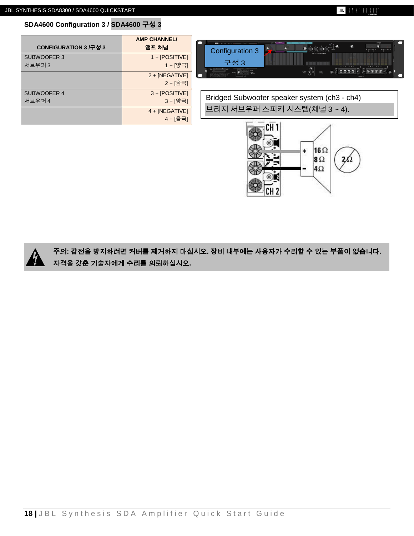**SDA4600 Configuration 3 / SDA4600** 구성 **3**

| SDA4600 Configuration 3 / SDA4600 구성 3 |  |
|----------------------------------------|--|
|                                        |  |

| CONFIGURATION 3 /구성 3 | <b>AMP CHANNEL/</b><br>앰프 채널                        |
|-----------------------|-----------------------------------------------------|
| SUBWOOFER 3<br>서브우퍼 3 | $1 + [POSITIVE]$<br>1 + [양극]                        |
|                       | $2 + [NEGATIVE]$<br>2 + [음극]                        |
| SUBWOOFER 4<br>서브우퍼 4 | 3 + [POSITIVE]<br>3 + [양극]                          |
|                       | $4 + [NEGATIVE]$<br>$\overline{1}$ . $\overline{1}$ |

주의**:** 감전을 방지하려면 커버를 제거하지 마십시오**.** 장비 내부에는 사용자가 수리할 수 있는 부품이 없습니다**.**  자격을 갖춘 기술자에게 수리를 의뢰하십시오**.**







16 Ω

 $8\Omega$ 4Ω

Ŧ

Bridged Subwoofer speaker system (ch3 - ch4) 브리지 서브우퍼 스피커 시스템(채널 3 ~ 4).